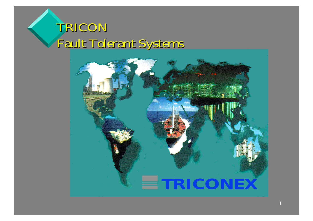## *TRICON Fault Tolerant Tolerant Systems Systems*

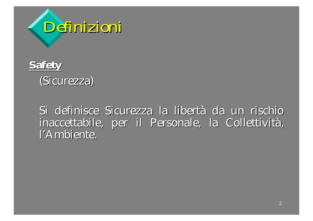

#### **Safety**

(Sicurezza)

Si definisce Sicurezza la libertà da un rischio inaccettabile, per il Personale, la Collettività, l'Ambiente.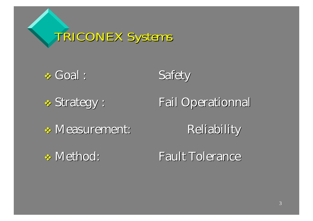*TRICONEX TRICONEX Systems Systems*

\* Goal : Safety

\* Strategy :

Fail Operationnal

\* Measurement: Reliability

\* Method:

**Fault Tolerance**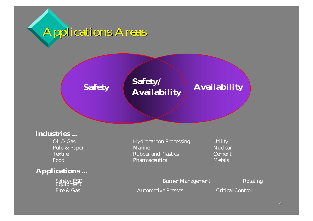



#### **Industries ...**

Oil & GasTextileFood

#### **Applications ...**

Fire & Gas

Hydrocarbon Processing **Utility** Pulp & Paper Marine Marine Marine Nuclear Rubber and Plastics Cement Pharmaceutical Metals

Safety/ESD Burner Management Rotating Equipment

Automotive Presses **Critical Control**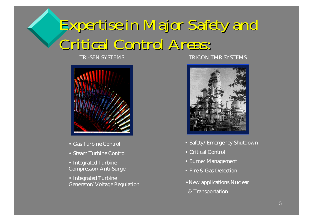## *Expertise in Major Expertise in Major Safety and Critical Critical Control Control Areas :*

TRI-SEN SYSTEMS



- •Gas Turbine Control
- Steam Turbine Control
- •Integrated Turbine Compressor/Anti-Surge
- Integrated Turbine Generator/Voltage Regulation

#### TRICON TMR SYSTEMS



- Safety/Emergency Shutdown
- •Critical Control
- Burner Management
- Fire & Gas Detection
- •New applications Nuclear & Transportation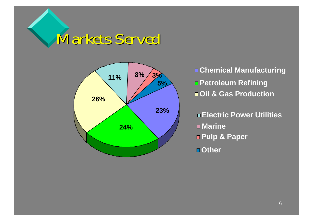



 **8% Chemical Manufacturing Petroleum Refining Oil & Gas Production**

> **Electric Power Utilities Marine Pulp & Paper Other**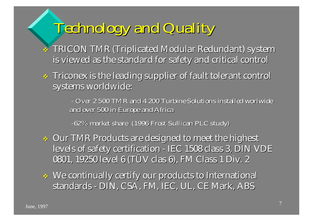## *Technology Technology and Quality Quality*

- \* TRICON TMR (Triplicated Modular Redundant) system is viewed as the standard for safety and critical control
- $\ast$  Triconex is the leading supplier of fault tolerant control systems worldwide:

*- Over 2 500 TMR and 4 200 Turbine Over 2 500 TMR and 4 200 Turbine Solutions Solutions installed installed worlwide worlwide and over 500 in and over 500 in Europe and Africa and Africa*

*-62% market 62% market share (1996 Frost Sullican Frost Sullican PLC study)*

- $\bullet$  Our TMR Products are designed to meet the highest levels of safety certification - IEC 1508 class 3, DIN VDE 0801, 19250 level 6 (TÜV clas 6), FM Class 1 Div. 2
- $\;\;\div\;\;\mathop{\textrm{We continually certainty}}$  our products to International standards - DIN, CSA, FM, IEC, UL, CE Mark, ABS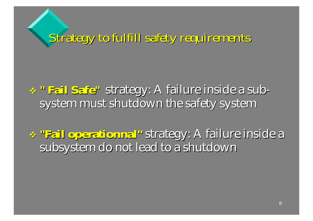*Strategy Strategy to fulfill fulfill safety requirements requirements*

- \* " Fail Safe" strategy: A failure inside a subsystem must shutdown the safety system
- $\cdot$  "Fail operationnal" strategy: A failure inside a subsystem do not lead to a shutdown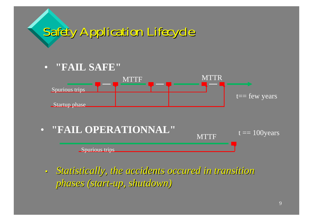# *Safety Application Application Lifecycle Lifecycle*

• **"FAIL SAFE"**





 $\mathbf c$  *Statistically Statistically, the accidents accidents occured occured in transition transition phases* (*start-up*, *shutdown*)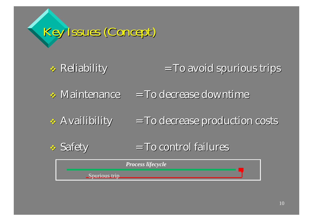# *Key Issues (Concept Concept)*

#### \* Reliability  $T$ o avoid spurious trips

 $\bullet$  Maintenance  $=$  To decrease downtime

**Availibility**  $\mathbf{I} = \mathbf{T}$ o decrease production costs

**❖ Safety**  $=$  To control failures

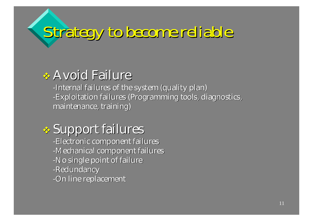# *Strategy Strategy to become reliable reliable*

#### \* Avoid Failure

-Internal failures of the system (quality plan) -Exploitation failures (Programming tools, diagnostics, maintenance, training)

\* Support failures -Electronic component failures -Mechanical component failures -No single point of failure -Redundancy -On line replacement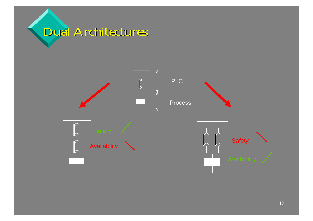

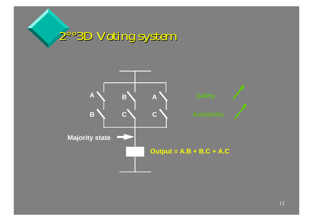

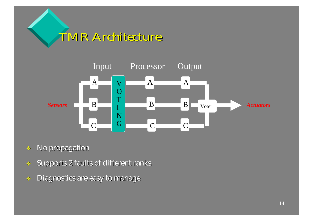



- No propagation
- Supports 2 faults of different ranks
- 多 Diagnostics are easy to manage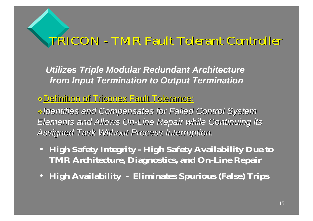#### *TRICON - TMR Fault TMR Fault Tolerant Tolerant Controller Controller*

*Utilizes Triple Modular Redundant Architecture from Input Termination to Output Termination*

Definition of Definition of Triconex Triconex Fault Tolerance Fault Tolerance:

*Identifies Identifies and Compensates Compensates for Failed Control System Control System Elements* and Allows On-Line Repair while Continuing its *Assigned Assigned Task Without Without Process Process Interruption Interruption.*

- **High Safety Integrity - High Safety Availability Due to TMR Architecture, Diagnostics, and On-Line Repair**
- **High Availability - Eliminates Spurious (False) Trips**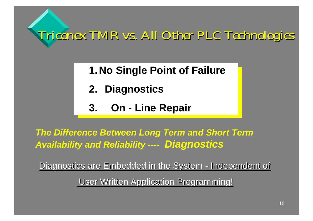*Triconex TMR vs. All Triconex TMR vs. All Other PLC Technologies PLC Technologies*

- **1.No Single Point of Failure1.No Single Point of Failure**
- **2. Diagnostics 2. Diagnostics**
- **3. On - Line Repair 3. On - Line Repair**

*The Difference Between Long Term and Short Term Availability and Reliability ----Diagnostics*

<u>Diagnostics are Embedded in the System </u> -<u>- Independent of</u>

<u>User Written Application Programming!</u>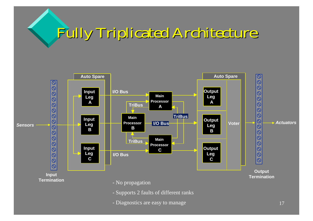# *Fully Triplicated Triplicated Architecture Architecture*



- Diagnostics are easy to manage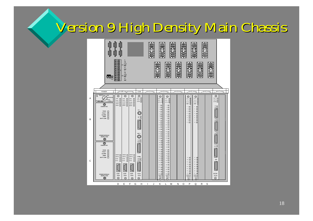## *Version Version 9 High Density 9 High Density Main Chassis Chassis*

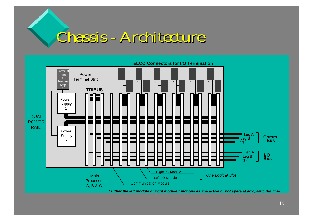## *Chassis Chassis - Architecture Architecture*

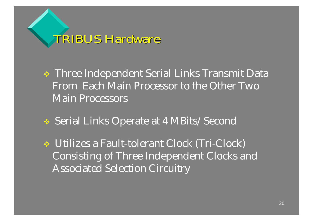*TRIBUS Hardware TRIBUS Hardware*

- Three Independent Serial Links Transmit Data From Each Main Processor to the Other Two Main Processors
- Serial Links Operate at 4 MBits/Second
- Utilizes a Fault-tolerant Clock (Tri-Clock) Consisting of Three Independent Clocks and Associated Selection Circuitry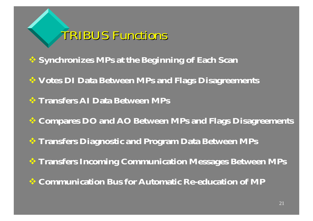

- **Synchronizes MPs at the Beginning of Each Scan**
- **Votes DI Data Between MPs and Flags Disagreements**
- **Transfers AI Data Between MPs**
- **Compares DO and AO Between MPs and Flags Disagreements**
- **Transfers Diagnostic and Program Data Between MPs**
- **Transfers Incoming Communication Messages Between MPs**
- **Communication Bus for Automatic Re-education of MP**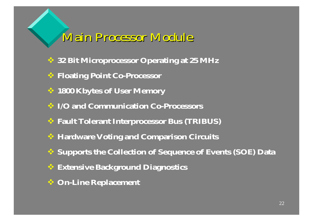#### *Main Processor Module*

- **32 Bit Microprocessor Operating at 25 MHz**
- **Floating Point Co-Processor**
- **1800 Kbytes of User Memory**
- **I/O and Communication Co-Processors**
- **Fault Tolerant Interprocessor Bus (TRIBUS)**
- **Hardware Voting and Comparison Circuits**
- **Supports the Collection of Sequence of Events (SOE) Data**
- **Extensive Background Diagnostics**
- **On-Line Replacement**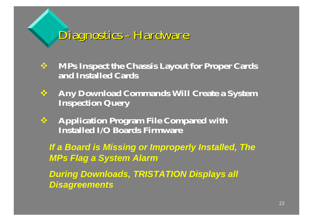*Diagnostics Diagnostics - Hardware Hardware*

- **MPs Inspect the Chassis Layout for Proper Cards and Installed Cards**
- 参 **Any Download Commands Will Create a System Inspection Query**
- $\frac{1}{2}$  **Application Program File Compared with Installed I/O Boards Firmware**

*If a Board is Missing or Improperly Installed, The*  **MPs Flag a System Alarm** 

*During Downloads, TRISTATION Displays all Disagreements*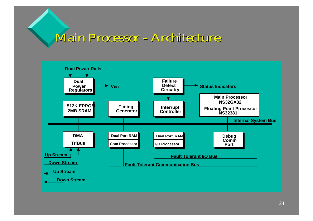#### *Main Processor - Architecture*

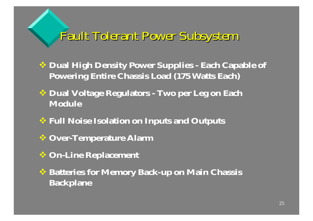#### *Fault Tolerant Tolerant Power Subsystem Subsystem*

- **Dual High Density Power Supplies - Each Capable of Powering Entire Chassis Load (175 Watts Each)**
- **Dual Voltage Regulators - Two per Leg on Each Module**
- **Full Noise Isolation on Inputs and Outputs**
- **Over-Temperature Alarm**
- **On-Line Replacement**
- **Batteries for Memory Back-up on Main Chassis Backplane**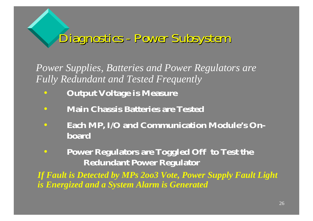### *Diagnostics Diagnostics - Power Subsystem Subsystem*

*Power Supplies, Batteries and Power Regulators are Fully Redundant and Tested Frequently*

- •**Output Voltage is Measure**
- $\bullet$ **Main Chassis Batteries are Tested**
- • **Each MP, I/O and Communication Module's Onboard**
- $\bullet$  **Power Regulators are Toggled Off to Test the Redundant Power Regulator**

*If Fault is Detected by MPs 2oo3 Vote, Power Supply Fault Light is Energized and a System Alarm is Generated*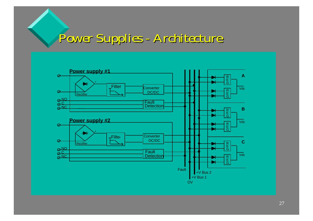## *Power Supplies Supplies - Architecture Architecture*

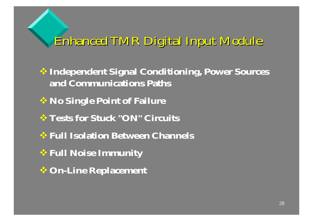*Enhanced Enhanced TMR Digital Digital Input Module*

**Independent Signal Conditioning, Power Sources and Communications Paths**

**No Single Point of Failure**

- **Tests for Stuck "ON" Circuits**
- **Full Isolation Between Channels**
- **Full Noise Immunity**
- **On-Line Replacement**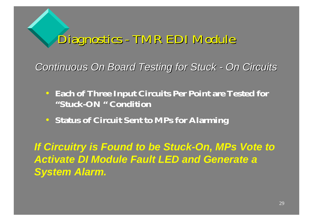*Diagnostics Diagnostics - TMR EDI TMR EDI Module*

*Continuous* On Board Testing for Stuck - On Circuits

- **Each of Three Input Circuits Per Point are Tested for "Stuck-ON " Condition**
- **Status of Circuit Sent to MPs for Alarming**

*If Circuitry is Found to be Stuck-On, MPs Vote to Activate DI Module Fault LED and Generate a System Alarm.*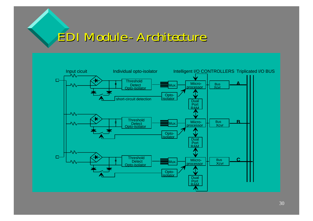#### *EDI Module - Architecture Architecture*

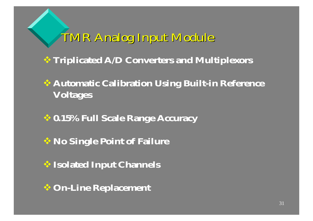## *TMR Analog Input Module*

- **Triplicated A/D Converters and Multiplexors**
- **Automatic Calibration Using Built-in Reference Voltages**
- **0.15% Full Scale Range Accuracy**
- **No Single Point of Failure**
- **Isolated Input Channels**
- **On-Line Replacement**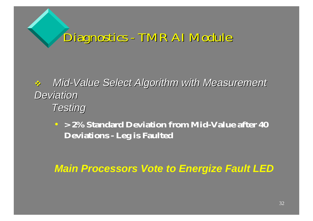*Diagnostics Diagnostics - TMR AI Module*

 $\frac{1}{2}$  *Mid-Value Select Algorithm Algorithm with Measurement Measurement Deviation DeviationTesting Testing*

• **> 2% Standard Deviation from Mid-Value after 40 Deviations - Leg is Faulted**

*Main Processors Vote to Energize Fault LED*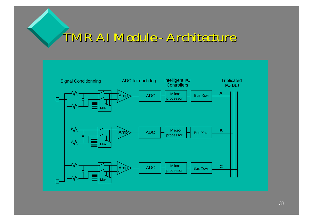#### *TMR AI Module - Architecture Architecture*

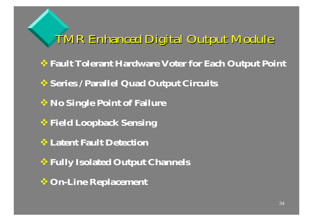*TMR Enhanced Enhanced Digital Digital Output Module*

**Fault Tolerant Hardware Voter for Each Output Point**

**Series / Parallel Quad Output Circuits**

**No Single Point of Failure**

**Field Loopback Sensing** 

**Latent Fault Detection**

**Fully Isolated Output Channels**

**On-Line Replacement**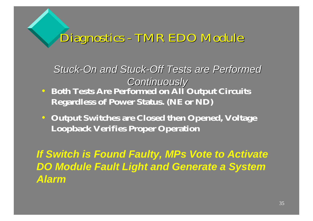#### *Diagnostics Diagnostics - TMR EDO TMR EDO Module*

- *Stuck-On and Stuck-Off Tests are Performed PerformedContinuously Continuously* • **Both Tests Are Performed on All Output Circuits Regardless of Power Status. (NE or ND)**
- **Output Switches are Closed then Opened, Voltage Loopback Verifies Proper Operation**

*If Switch is Found Faulty, MPs Vote to Activate DO Module Fault Light and Generate a System Alarm*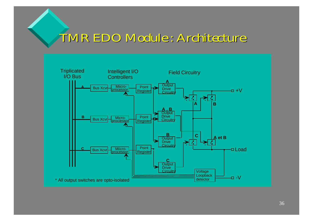#### *TMR EDO TMR EDO Module : Architecture Architecture*

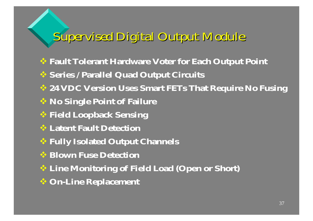### *Supervised Supervised Digital Digital Output Module*

- **Fault Tolerant Hardware Voter for Each Output Point**
- **Series / Parallel Quad Output Circuits**
- **24 VDC Version Uses Smart FETs That Require No Fusing**
- **No Single Point of Failure**
- **Field Loopback Sensing**
- **Latent Fault Detection**
- **Fully Isolated Output Channels**
- **Blown Fuse Detection**
- **Line Monitoring of Field Load (Open or Short)**
- **On-Line Replacement**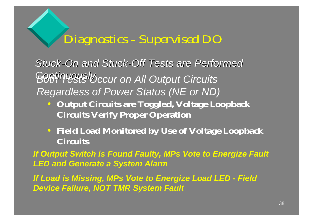#### *Diagnostics - Supervised DO*

*Stuck-On and Stuck-Off Tests are Performed Performed Continuously Continuously Both Tests Occur on All Output Circuits Regardless of Power Status (NE or ND)*

- **Output Circuits are Toggled, Voltage Loopback Circuits Verify Proper Operation**
- **Field Load Monitored by Use of Voltage Loopback Circuits**

*If Output Switch is Found Faulty, MPs Vote to Energize Fault LED and Generate a System Alarm*

*If Load is Missing, MPs Vote to Energize Load LED - Field Device Failure, NOT TMR System Fault*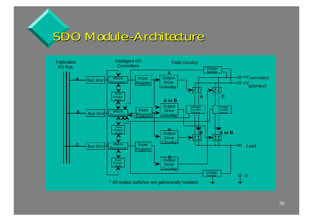#### *SDO Module -Architecture Architecture*

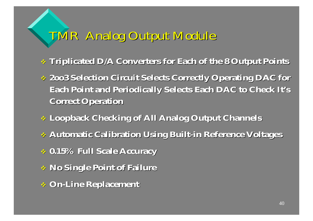### *TMR Analog Output Module*

- **Triplicated D/A Triplicated D/A Converters Converters for Each of the 8 Output of the 8 Output Points**
- **2oo3 Selection Circuit Selects Correctly Operating Selection Circuit Selects Correctly Operating DAC for Each Point and Periodically Selects Each Each Point and Periodically Selects Each DAC to Check It's Correct Operation Correct Operation**
- **Loopback Checking of Loopback Checking of All Analog Output Channels Channels**
- **Automatic Automatic Calibration Calibration Using Built-in Reference Reference Voltages Voltages**
- **0.15% Full Scale 0.15% Full Scale Accuracy Accuracy**
- **No Single No Single Point of Failure Failure**
- **On-Line Replacement Replacement**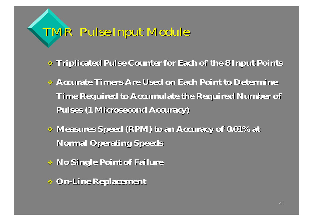## *TMR Pulse Input Module*

- $\ast$  Triplicated Pulse Counter for Each of the 8 Input Points
- **Accurate Accurate Timers Are Used on Each Point to Determine Used on Each Point to Determine Time Required to Required to Accumulate Accumulate the Required Number of the Required Number of Pulses (1 Microsecond Accuracy Microsecond Accuracy)**
- **Measures Measures Speed (RPM) to an Accuracy Accuracy of 0.01% at of 0.01% at Normal Operating Operating Speeds**
- **No Single No Single Point of Failure Failure**
- **On-Line Replacement Replacement**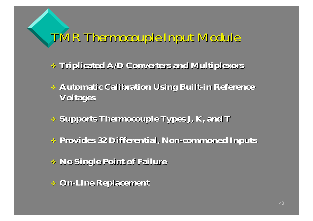*TMR Thermocouple Thermocouple Input Module*

- **Triplicated A/D Triplicated A/D Converters and Multiplexors Converters and Multiplexors**
- **Automatic Calibration Using Built Automatic Calibration Using Built-in Reference Reference Voltages Voltages**
- **Supports Thermocouple Types Supports Thermocouple Types J, K, and <sup>T</sup>**
- **Provides Provides 32 Differential Differential, Non-commoned commoned Inputs**
- **No Single No Single Point of Failure Failure**
- **On-Line Replacement Replacement**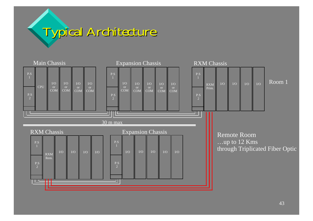# *Typical Typical Architecture Architecture*

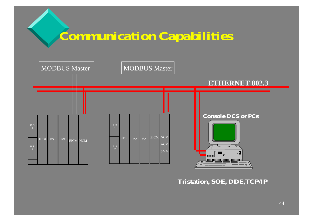### *Communication Capabilities*



**Tristation, SOE, DDE,TCP/IP**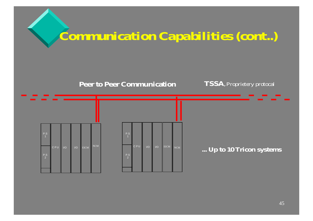

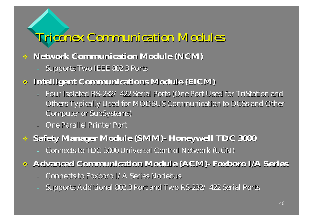## *Triconex Communication Modules*

#### **Network Network Communication Module Communication Module (NCM)**

Supports Two IEEE 802.3 Ports

#### **Intelligent Intelligent Communications Communications Module (EICM)**

- Four Isolated RS-232/ 422 Serial Ports (One Port Used for TriStation and Others Typically Used for MODBUS Communication to DCSs and Other Computer or SubSystems)
- **One Parallel Printer Port**

#### **Safety Manager Manager Module (SMM)- Honeywell Honeywell TDC 3000 TDC 3000**

- Connects to TDC 3000 Universal Control Network (UCN)

#### **Advanced Communication Module Advanced Communication Module (ACM)- Foxboro Foxboro I/A Series**

- Connects to Foxboro I/A Series Nodebus
- Supports Additional 802.3 Port and Two RS-232/ 422 Serial Ports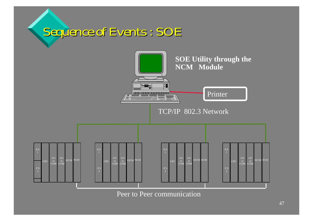#### *Sequence Sequence of Events : SOE*



Peer to Peer communication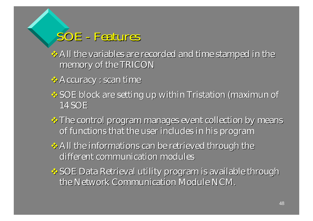#### *SOE - Features Features*

 $\leftrightarrow$  All the variables are recorded and time stamped in the memory of the TRICON

**EX** Accuracy : scan time

- SOE block are setting up within Tristation (maximun of 14 SOE
- \* The control program manages event collection by means of functions that the user includes in his program
- $\leftrightarrow$  All the informations can be retrieved through the different communication modules
- $\clubsuit$  SOE Data Retrieval utility program is available through the Network Communication Module NCM.